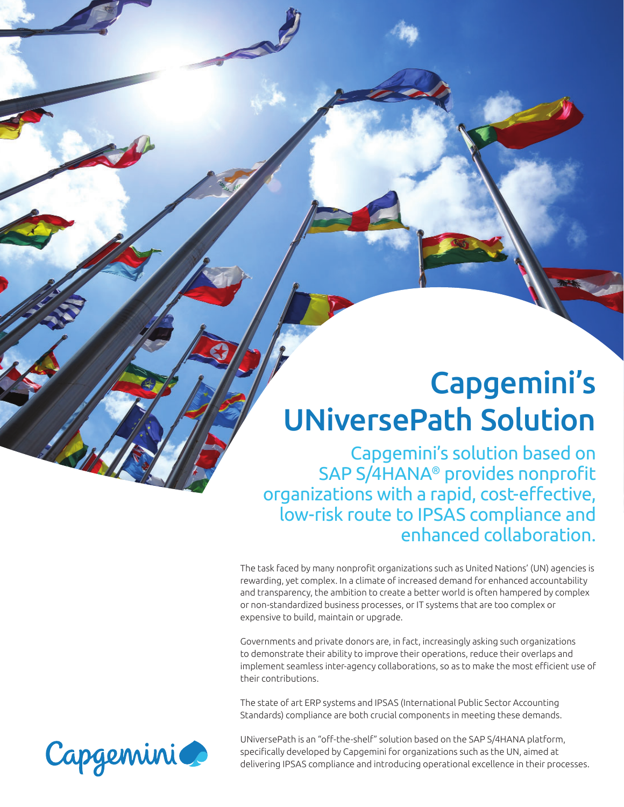# Capgemini's UNiversePath Solution

Capgemini's solution based on SAP S/4HANA® provides nonprofit organizations with a rapid, cost-effective, low-risk route to IPSAS compliance and enhanced collaboration.

The task faced by many nonprofit organizations such as United Nations' (UN) agencies is rewarding, yet complex. In a climate of increased demand for enhanced accountability and transparency, the ambition to create a better world is often hampered by complex or non-standardized business processes, or IT systems that are too complex or expensive to build, maintain or upgrade.

Governments and private donors are, in fact, increasingly asking such organizations to demonstrate their ability to improve their operations, reduce their overlaps and implement seamless inter-agency collaborations, so as to make the most efficient use of their contributions.

The state of art ERP systems and IPSAS (International Public Sector Accounting Standards) compliance are both crucial components in meeting these demands.

UNiversePath is an "off-the-shelf" solution based on the SAP S/4HANA platform, specifically developed by Capgemini for organizations such as the UN, aimed at delivering IPSAS compliance and introducing operational excellence in their processes.

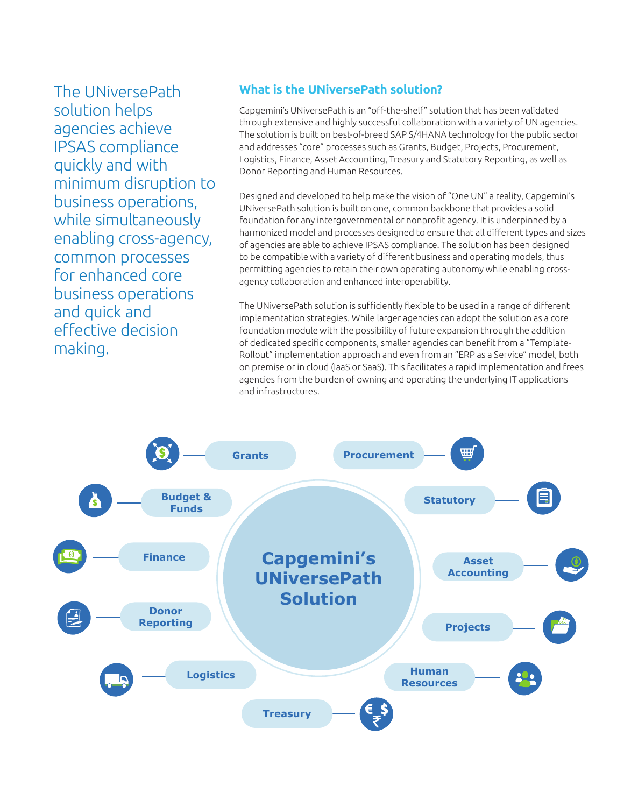The UNiversePath solution helps agencies achieve IPSAS compliance quickly and with minimum disruption to business operations, while simultaneously enabling cross-agency, common processes for enhanced core business operations and quick and effective decision making.

#### **What is the UNiversePath solution?**

Capgemini's UNiversePath is an "off -the-shelf" solution that has been validated through extensive and highly successful collaboration with a variety of UN agencies. The solution is built on best-of-breed SAP S/4HANA technology for the public sector and addresses "core" processes such as Grants, Budget, Projects, Procurement, Logistics, Finance, Asset Accounting, Treasury and Statutory Reporting, as well as Donor Reporting and Human Resources.

Designed and developed to help make the vision of "One UN" a reality, Capgemini's UNiversePath solution is built on one, common backbone that provides a solid foundation for any intergovernmental or nonprofit agency. It is underpinned by a harmonized model and processes designed to ensure that all different types and sizes of agencies are able to achieve IPSAS compliance. The solution has been designed to be compatible with a variety of different business and operating models, thus permitting agencies to retain their own operating autonomy while enabling crossagency collaboration and enhanced interoperability.

The UNiversePath solution is sufficiently flexible to be used in a range of different implementation strategies. While larger agencies can adopt the solution as a core foundation module with the possibility of future expansion through the addition of dedicated specific components, smaller agencies can benefit from a "Template-Rollout" implementation approach and even from an "ERP as a Service" model, both on premise or in cloud (IaaS or SaaS). This facilitates a rapid implementation and frees agencies from the burden of owning and operating the underlying IT applications and infrastructures.

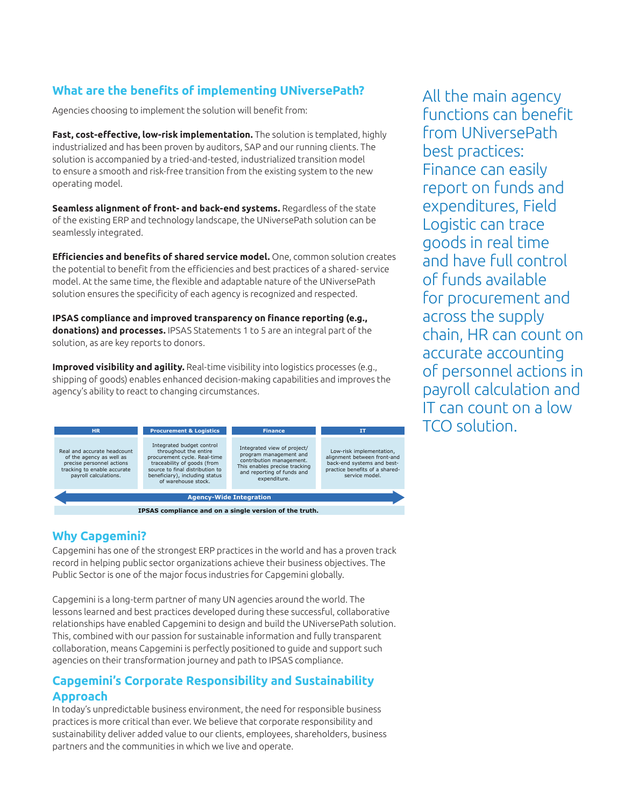#### **What are the benefits of implementing UNiversePath?**

Agencies choosing to implement the solution will benefit from:

**Fast, cost-eff ective, low-risk implementation.** The solution is templated, highly industrialized and has been proven by auditors, SAP and our running clients. The solution is accompanied by a tried-and-tested, industrialized transition model to ensure a smooth and risk-free transition from the existing system to the new operating model.

**Seamless alignment of front- and back-end systems.** Regardless of the state of the existing ERP and technology landscape, the UNiversePath solution can be seamlessly integrated.

Efficiencies and benefits of shared service model. One, common solution creates the potential to benefit from the efficiencies and best practices of a shared- service model. At the same time, the flexible and adaptable nature of the UNiversePath solution ensures the specificity of each agency is recognized and respected.

IPSAS compliance and improved transparency on finance reporting (e.g., **donations) and processes.** IPSAS Statements 1 to 5 are an integral part of the solution, as are key reports to donors.

**Improved visibility and agility.** Real-time visibility into logistics processes (e.g., shipping of goods) enables enhanced decision-making capabilities and improves the agency's ability to react to changing circumstances.



**Why Capgemini?**

Capgemini has one of the strongest ERP practices in the world and has a proven track record in helping public sector organizations achieve their business objectives. The Public Sector is one of the major focus industries for Capgemini globally.

Capgemini is a long-term partner of many UN agencies around the world. The lessons learned and best practices developed during these successful, collaborative relationships have enabled Capgemini to design and build the UNiversePath solution. This, combined with our passion for sustainable information and fully transparent collaboration, means Capgemini is perfectly positioned to guide and support such agencies on their transformation journey and path to IPSAS compliance.

#### **Capgemini's Corporate Responsibility and Sustainability Approach**

In today's unpredictable business environment, the need for responsible business practices is more critical than ever. We believe that corporate responsibility and sustainability deliver added value to our clients, employees, shareholders, business partners and the communities in which we live and operate.

All the main agency functions can benefit from UNiversePath best practices: Finance can easily report on funds and expenditures, Field Logistic can trace goods in real time and have full control of funds available for procurement and across the supply chain, HR can count on accurate accounting of personnel actions in payroll calculation and IT can count on a low TCO solution.